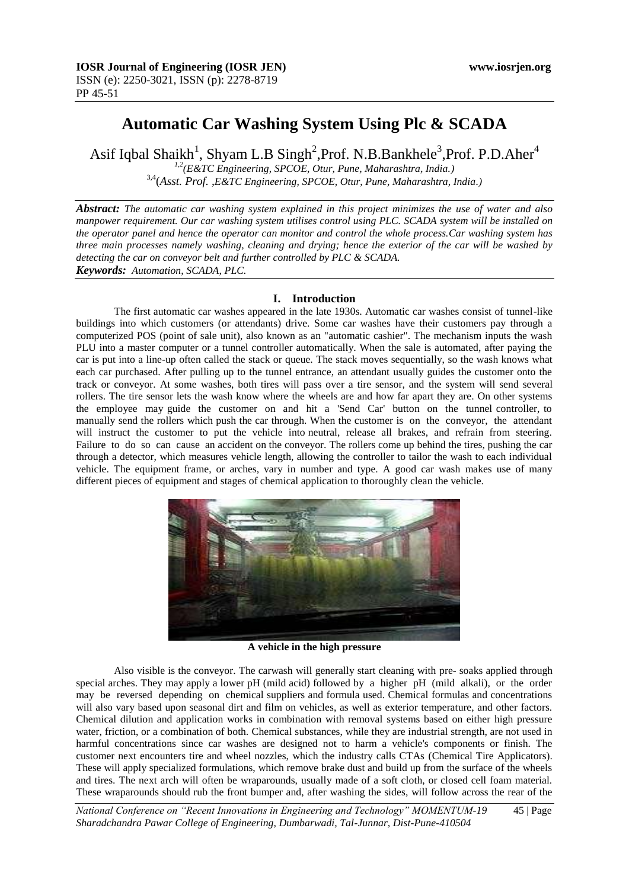# **Automatic Car Washing System Using Plc & SCADA**

Asif Iqbal Shaikh<sup>1</sup>, Shyam L.B Singh<sup>2</sup>, Prof. N.B.Bankhele<sup>3</sup>, Prof. P.D.Aher<sup>4</sup>

*1,2(E&TC Engineering, SPCOE, Otur, Pune, Maharashtra, India.)* 3,4(*Asst. Prof. ,E&TC Engineering, SPCOE, Otur, Pune, Maharashtra, India.)*

*Abstract: The automatic car washing system explained in this project minimizes the use of water and also manpower requirement. Our car washing system utilises control using PLC. SCADA system will be installed on the operator panel and hence the operator can monitor and control the whole process.Car washing system has three main processes namely washing, cleaning and drying; hence the exterior of the car will be washed by detecting the car on conveyor belt and further controlled by PLC & SCADA. Keywords: Automation, SCADA, PLC.*

#### **I. Introduction**

The first automatic car washes appeared in the late 1930s. Automatic car washes consist of tunnel-like buildings into which customers (or attendants) drive. Some car washes have their customers pay through a computerized POS (point of sale unit), also known as an "automatic cashier". The mechanism inputs the wash PLU into a master computer or a tunnel controller automatically. When the sale is automated, after paying the car is put into a line-up often called the stack or queue. The stack moves sequentially, so the wash knows what each car purchased. After pulling up to the tunnel entrance, an attendant usually guides the customer onto the track or conveyor. At some washes, both tires will pass over a tire sensor, and the system will send several rollers. The tire sensor lets the wash know where the wheels are and how far apart they are. On other systems the employee may guide the customer on and hit a 'Send Car' button on the tunnel controller, to manually send the rollers which push the car through. When the customer is on the conveyor, the attendant will instruct the customer to put the vehicle into neutral, release all brakes, and refrain from steering. Failure to do so can cause an accident on the conveyor. The rollers come up behind the tires, pushing the car through a detector, which measures vehicle length, allowing the controller to tailor the wash to each individual vehicle. The equipment frame, or arches, vary in number and type. A good car wash makes use of many different pieces of equipment and stages of chemical application to thoroughly clean the vehicle.



**A vehicle in the high pressure**

Also visible is the conveyor. The carwash will generally start cleaning with pre- soaks applied through special arches. They may apply a lower pH (mild acid) followed by a higher pH (mild alkali), or the order may be reversed depending on chemical suppliers and formula used. Chemical formulas and concentrations will also vary based upon seasonal dirt and film on vehicles, as well as exterior temperature, and other factors. Chemical dilution and application works in combination with removal systems based on either high pressure water, friction, or a combination of both. Chemical substances, while they are industrial strength, are not used in harmful concentrations since car washes are designed not to harm a vehicle's components or finish. The customer next encounters tire and wheel nozzles, which the industry calls CTAs (Chemical Tire Applicators). These will apply specialized formulations, which remove brake dust and build up from the surface of the wheels and tires. The next arch will often be wraparounds, usually made of a soft cloth, or closed cell foam material. These wraparounds should rub the front bumper and, after washing the sides, will follow across the rear of the

*National Conference on "Recent Innovations in Engineering and Technology" MOMENTUM-19* 45 | Page *Sharadchandra Pawar College of Engineering, Dumbarwadi, Tal-Junnar, Dist-Pune-410504*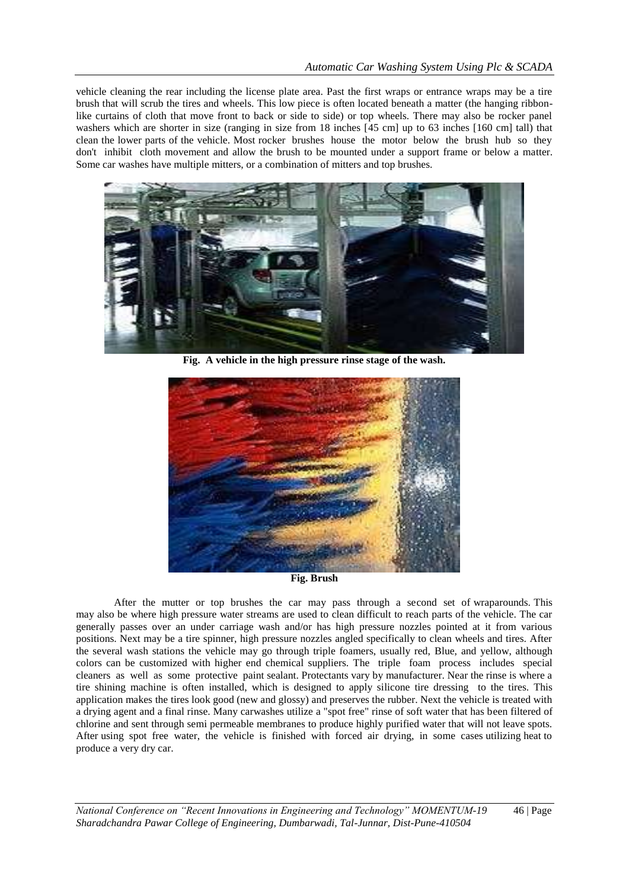vehicle cleaning the rear including the license plate area. Past the first wraps or entrance wraps may be a tire brush that will scrub the tires and wheels. This low piece is often located beneath a matter (the hanging ribbonlike curtains of cloth that move front to back or side to side) or top wheels. There may also be rocker panel washers which are shorter in size (ranging in size from 18 inches [45 cm] up to 63 inches [160 cm] tall) that clean the lower parts of the vehicle. Most rocker brushes house the motor below the brush hub so they don't inhibit cloth movement and allow the brush to be mounted under a support frame or below a matter. Some car washes have multiple mitters, or a combination of mitters and top brushes.



**Fig. A vehicle in the high pressure rinse stage of the wash.**



**Fig. Brush**

After the mutter or top brushes the car may pass through a second set of wraparounds. This may also be where high pressure water streams are used to clean difficult to reach parts of the vehicle. The car generally passes over an under carriage wash and/or has high pressure nozzles pointed at it from various positions. Next may be a tire spinner, high pressure nozzles angled specifically to clean wheels and tires. After the several wash stations the vehicle may go through triple foamers, usually red, Blue, and yellow, although colors can be customized with higher end chemical suppliers. The triple foam process includes special cleaners as well as some protective paint sealant. Protectants vary by manufacturer. Near the rinse is where a tire shining machine is often installed, which is designed to apply silicone tire dressing to the tires. This application makes the tires look good (new and glossy) and preserves the rubber. Next the vehicle is treated with a drying agent and a final rinse. Many carwashes utilize a "spot free" rinse of soft water that has been filtered of chlorine and sent through semi permeable membranes to produce highly purified water that will not leave spots. After using spot free water, the vehicle is finished with forced air drying, in some cases utilizing heat to produce a very dry car.

*National Conference on "Recent Innovations in Engineering and Technology" MOMENTUM-19* 46 | Page *Sharadchandra Pawar College of Engineering, Dumbarwadi, Tal-Junnar, Dist-Pune-410504*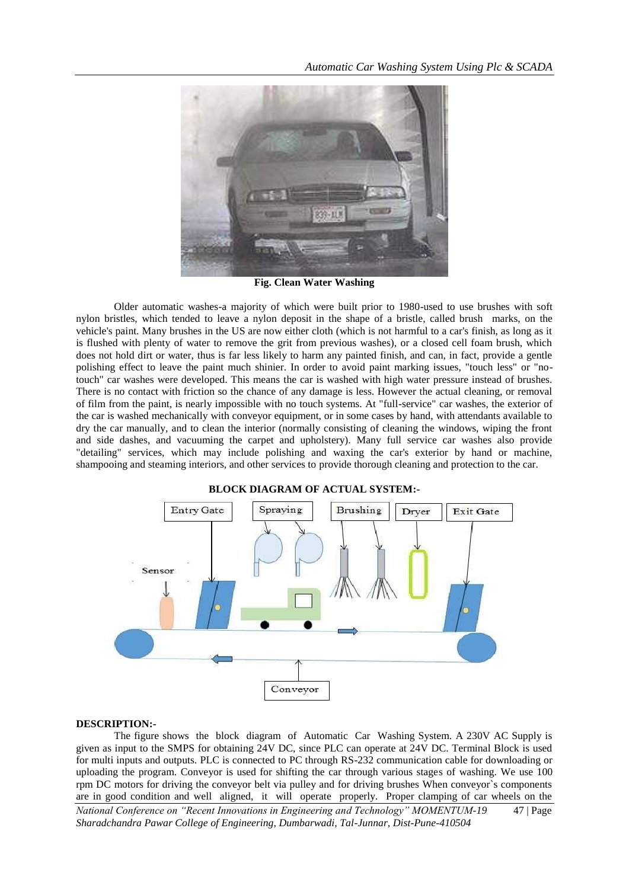

**Fig. Clean Water Washing**

Older automatic washes-a majority of which were built prior to 1980-used to use brushes with soft nylon bristles, which tended to leave a nylon deposit in the shape of a bristle, called brush marks, on the vehicle's paint. Many brushes in the US are now either cloth (which is not harmful to a car's finish, as long as it is flushed with plenty of water to remove the grit from previous washes), or a closed cell foam brush, which does not hold dirt or water, thus is far less likely to harm any painted finish, and can, in fact, provide a gentle polishing effect to leave the paint much shinier. In order to avoid paint marking issues, "touch less" or "notouch" car washes were developed. This means the car is washed with high water pressure instead of brushes. There is no contact with friction so the chance of any damage is less. However the actual cleaning, or removal of film from the paint, is nearly impossible with no touch systems. At "full-service" car washes, the exterior of the car is washed mechanically with conveyor equipment, or in some cases by hand, with attendants available to dry the car manually, and to clean the interior (normally consisting of cleaning the windows, wiping the front and side dashes, and vacuuming the carpet and upholstery). Many full service car washes also provide "detailing" services, which may include polishing and waxing the car's exterior by hand or machine, shampooing and steaming interiors, and other services to provide thorough cleaning and protection to the car.



## **DESCRIPTION:-**

*National Conference on "Recent Innovations in Engineering and Technology" MOMENTUM-19* 47 | Page *Sharadchandra Pawar College of Engineering, Dumbarwadi, Tal-Junnar, Dist-Pune-410504* The figure shows the block diagram of Automatic Car Washing System. A 230V AC Supply is given as input to the SMPS for obtaining 24V DC, since PLC can operate at 24V DC. Terminal Block is used for multi inputs and outputs. PLC is connected to PC through RS-232 communication cable for downloading or uploading the program. Conveyor is used for shifting the car through various stages of washing. We use 100 rpm DC motors for driving the conveyor belt via pulley and for driving brushes When conveyor`s components are in good condition and well aligned, it will operate properly. Proper clamping of car wheels on the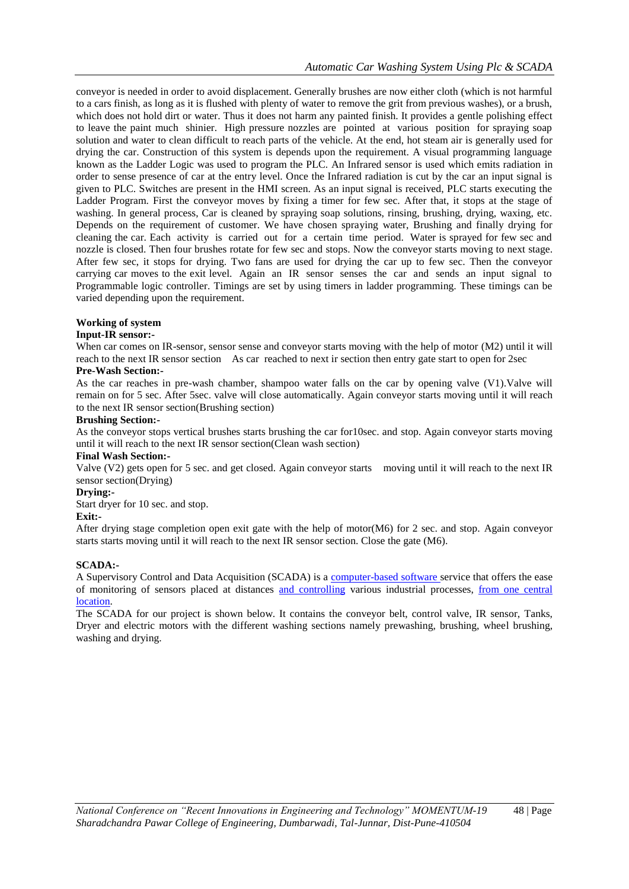conveyor is needed in order to avoid displacement. Generally brushes are now either cloth (which is not harmful to a cars finish, as long as it is flushed with plenty of water to remove the grit from previous washes), or a brush, which does not hold dirt or water. Thus it does not harm any painted finish. It provides a gentle polishing effect to leave the paint much shinier. High pressure nozzles are pointed at various position for spraying soap solution and water to clean difficult to reach parts of the vehicle. At the end, hot steam air is generally used for drying the car. Construction of this system is depends upon the requirement. A visual programming language known as the Ladder Logic was used to program the PLC. An Infrared sensor is used which emits radiation in order to sense presence of car at the entry level. Once the Infrared radiation is cut by the car an input signal is given to PLC. Switches are present in the HMI screen. As an input signal is received, PLC starts executing the Ladder Program. First the conveyor moves by fixing a timer for few sec. After that, it stops at the stage of washing. In general process, Car is cleaned by spraying soap solutions, rinsing, brushing, drying, waxing, etc. Depends on the requirement of customer. We have chosen spraying water, Brushing and finally drying for cleaning the car. Each activity is carried out for a certain time period. Water is sprayed for few sec and nozzle is closed. Then four brushes rotate for few sec and stops. Now the conveyor starts moving to next stage. After few sec, it stops for drying. Two fans are used for drying the car up to few sec. Then the conveyor carrying car moves to the exit level. Again an IR sensor senses the car and sends an input signal to Programmable logic controller. Timings are set by using timers in ladder programming. These timings can be varied depending upon the requirement.

## **Working of system**

#### **Input-IR sensor:-**

When car comes on IR-sensor, sensor sense and conveyor starts moving with the help of motor (M2) until it will reach to the next IR sensor section As car reached to next ir section then entry gate start to open for 2sec

## **Pre-Wash Section:-**

As the car reaches in pre-wash chamber, shampoo water falls on the car by opening valve (V1).Valve will remain on for 5 sec. After 5sec. valve will close automatically. Again conveyor starts moving until it will reach to the next IR sensor section(Brushing section)

#### **Brushing Section:-**

As the conveyor stops vertical brushes starts brushing the car for10sec. and stop. Again conveyor starts moving until it will reach to the next IR sensor section(Clean wash section)

## **Final Wash Section:-**

Valve (V2) gets open for 5 sec. and get closed. Again conveyor starts moving until it will reach to the next IR sensor section(Drying)

## **Drying:-**

Start dryer for 10 sec. and stop.

#### **Exit:-**

After drying stage completion open exit gate with the help of motor(M6) for 2 sec. and stop. Again conveyor starts starts moving until it will reach to the next IR sensor section. Close the gate (M6).

#### **SCADA:-**

A Supervisory Control and Data Acquisition (SCADA) is a [computer-based software s](https://en.wikipedia.org/wiki/Boolean_expression)ervice that offers the ease of monitoring of sensors placed at distances [and controlling](https://en.wikipedia.org/wiki/Boolean_expression) various industrial processes, from one central [location.](https://en.wikipedia.org/wiki/Boolean_expression)

The SCADA for our project is shown below. It contains the conveyor belt, control valve, IR sensor, Tanks, Dryer and electric motors with the different washing sections namely prewashing, brushing, wheel brushing, washing and drying.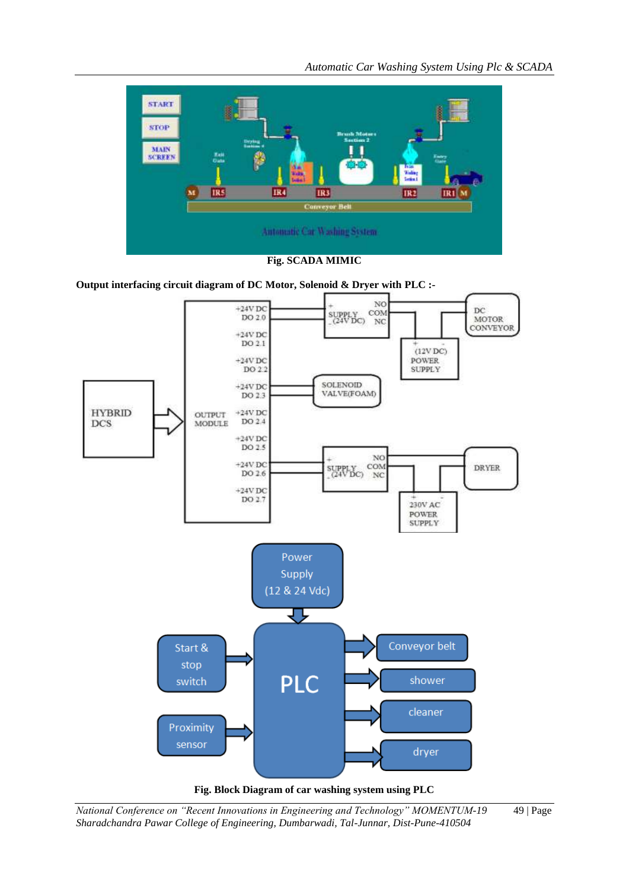



**Output interfacing circuit diagram of DC Motor, Solenoid & Dryer with PLC :-**





*National Conference on "Recent Innovations in Engineering and Technology" MOMENTUM-19* 49 | Page *Sharadchandra Pawar College of Engineering, Dumbarwadi, Tal-Junnar, Dist-Pune-410504*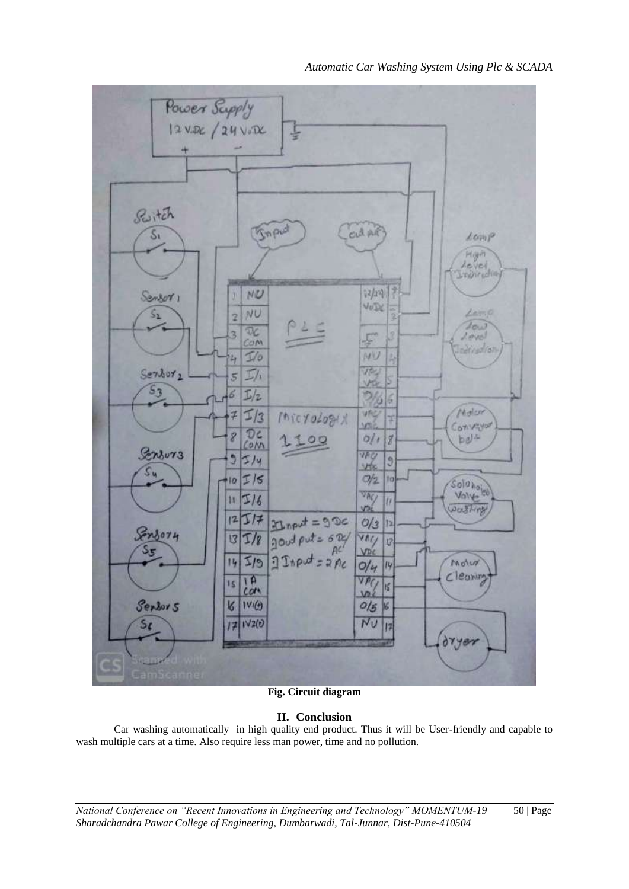

*Automatic Car Washing System Using Plc & SCADA*

**Fig. Circuit diagram**

## **II. Conclusion**

Car washing automatically in high quality end product. Thus it will be User-friendly and capable to wash multiple cars at a time. Also require less man power, time and no pollution.

*National Conference on "Recent Innovations in Engineering and Technology" MOMENTUM-19* 50 | Page *Sharadchandra Pawar College of Engineering, Dumbarwadi, Tal-Junnar, Dist-Pune-410504*